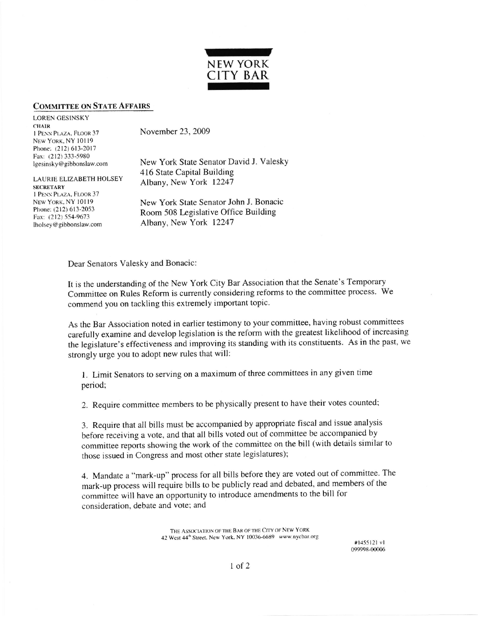

## COMMITTEE ON STATE AFFAIRS

LOREN GESINSKY CHAIR 1 PENN PLAZA, FLOOR 37 November 23, 2009 NEW YORK, NY 10119 Phone: (212) 613-2017 Fax: (212) 333-5980<br>lgesinsky@gibbonslaw.com

New York State Senator David J. Valesky 416 State Capital Building LAURIE ELIZABETH HOLSEY Albany, New York 12247

**SECRETARY** 1 PENN PLAZA, FLOOR 37

New York. NY 10119<br>
New York State Senator John J. Bonacic<br>  $\Gamma$ Phone: (212) 613-2053<br>
Fax: (212) 554-9673<br>
Iholsey@gibbonslaw.com Albany, New York 12247 Albany, New York 12247

Dear Senators Valesky and Bonacic:

It is the understanding of the New York City Bar Association that the Senate's Temporary Committee on Rules Reform is currently considering reforms to the committee process- We commend you on tackling this extremely important topic.

As the Bar Association noted in earlier testimony to your committee, having robust committees carefully examine and develop legislation is the reform with the greatest likelihood of increasing the legislature's effectiveness and improving its standing with its constituents. As in the past, we strongly urge you to adopt new rules that will:

l. Limit senators to serving on a maximum of three committees in any given time period;

2. Require committee members to be physically present to have their votes counted;

3. Require that all bills must be accompanied by appropriate fiscal and issue analysis before receiving a vote, and that all bills voted out of committee be accompanied by commirtee reports showing the work of the committee on the bill (with details similar to those issued in Congress and most other state legislatures);

4. Mandate a "mark-up" process for all bills before they are voted out of committee. The mark-up process will require bills to be publicly read and debated, and members of the committee will have an opportunity to introduce amendments to the bill for consideration. debate and vote; and

> THE ASSOCIATION OF THE BAR OF THE CITY OF NEW YORK 42 West 44<sup>th</sup> Street, New York. NY 10036-6689 www.nycbar.org

#1455121 vl 099998-00006